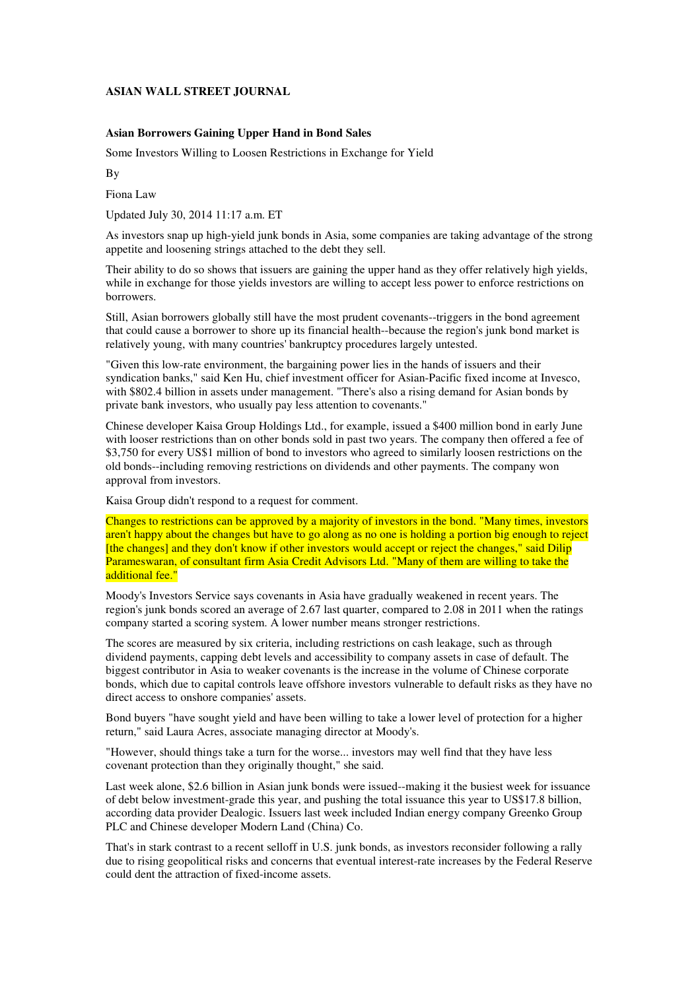## **ASIAN WALL STREET JOURNAL**

## **Asian Borrowers Gaining Upper Hand in Bond Sales**

Some Investors Willing to Loosen Restrictions in Exchange for Yield

By

Fiona Law

Updated July 30, 2014 11:17 a.m. ET

As investors snap up high-yield junk bonds in Asia, some companies are taking advantage of the strong appetite and loosening strings attached to the debt they sell.

Their ability to do so shows that issuers are gaining the upper hand as they offer relatively high yields, while in exchange for those yields investors are willing to accept less power to enforce restrictions on borrowers.

Still, Asian borrowers globally still have the most prudent covenants--triggers in the bond agreement that could cause a borrower to shore up its financial health--because the region's junk bond market is relatively young, with many countries' bankruptcy procedures largely untested.

"Given this low-rate environment, the bargaining power lies in the hands of issuers and their syndication banks," said Ken Hu, chief investment officer for Asian-Pacific fixed income at Invesco, with \$802.4 billion in assets under management. "There's also a rising demand for Asian bonds by private bank investors, who usually pay less attention to covenants."

Chinese developer Kaisa Group Holdings Ltd., for example, issued a \$400 million bond in early June with looser restrictions than on other bonds sold in past two years. The company then offered a fee of \$3,750 for every US\$1 million of bond to investors who agreed to similarly loosen restrictions on the old bonds--including removing restrictions on dividends and other payments. The company won approval from investors.

Kaisa Group didn't respond to a request for comment.

Changes to restrictions can be approved by a majority of investors in the bond. "Many times, investors aren't happy about the changes but have to go along as no one is holding a portion big enough to reject [the changes] and they don't know if other investors would accept or reject the changes," said Dilip Parameswaran, of consultant firm Asia Credit Advisors Ltd. "Many of them are willing to take the additional fee."

Moody's Investors Service says covenants in Asia have gradually weakened in recent years. The region's junk bonds scored an average of 2.67 last quarter, compared to 2.08 in 2011 when the ratings company started a scoring system. A lower number means stronger restrictions.

The scores are measured by six criteria, including restrictions on cash leakage, such as through dividend payments, capping debt levels and accessibility to company assets in case of default. The biggest contributor in Asia to weaker covenants is the increase in the volume of Chinese corporate bonds, which due to capital controls leave offshore investors vulnerable to default risks as they have no direct access to onshore companies' assets.

Bond buyers "have sought yield and have been willing to take a lower level of protection for a higher return," said Laura Acres, associate managing director at Moody's.

"However, should things take a turn for the worse... investors may well find that they have less covenant protection than they originally thought," she said.

Last week alone, \$2.6 billion in Asian junk bonds were issued--making it the busiest week for issuance of debt below investment-grade this year, and pushing the total issuance this year to US\$17.8 billion, according data provider Dealogic. Issuers last week included Indian energy company Greenko Group PLC and Chinese developer Modern Land (China) Co.

That's in stark contrast to a recent selloff in U.S. junk bonds, as investors reconsider following a rally due to rising geopolitical risks and concerns that eventual interest-rate increases by the Federal Reserve could dent the attraction of fixed-income assets.